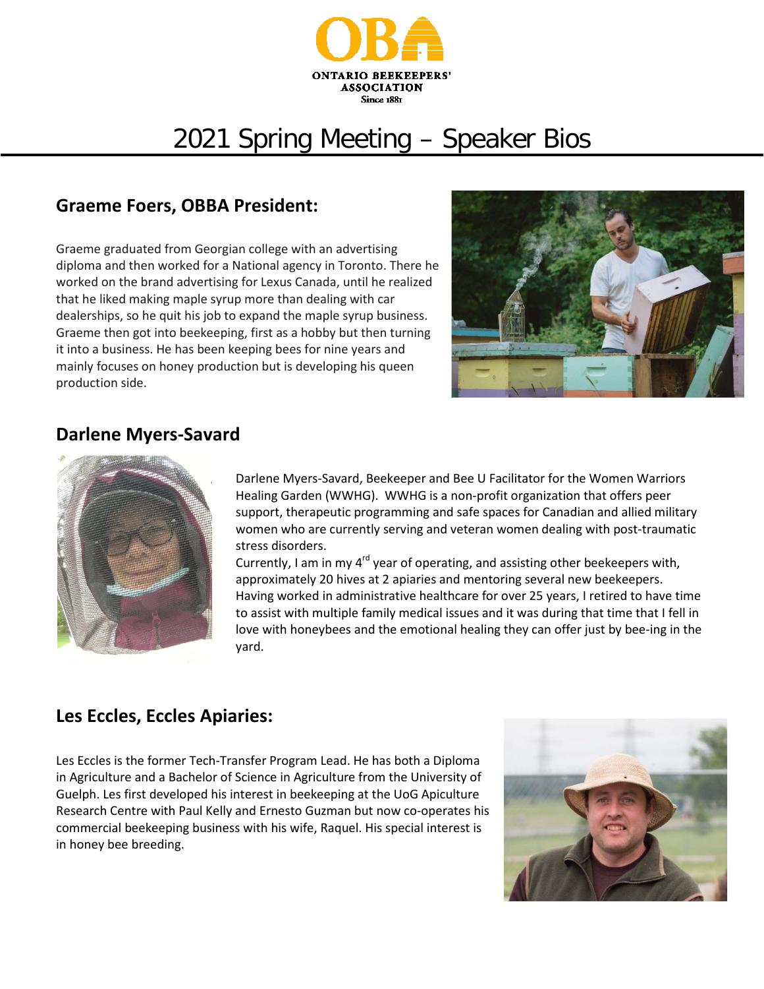

# 2021 Spring Meeting – Speaker Bios

## **Graeme Foers, OBBA President:**

Graeme graduated from Georgian college with an advertising diploma and then worked for a National agency in Toronto. There he worked on the brand advertising for Lexus Canada, until he realized that he liked making maple syrup more than dealing with car dealerships, so he quit his job to expand the maple syrup business. Graeme then got into beekeeping, first as a hobby but then turning it into a business. He has been keeping bees for nine years and mainly focuses on honey production but is developing his queen production side.



#### **Darlene Myers-Savard**



Darlene Myers-Savard, Beekeeper and Bee U Facilitator for the Women Warriors Healing Garden (WWHG). WWHG is a non-profit organization that offers peer support, therapeutic programming and safe spaces for Canadian and allied military women who are currently serving and veteran women dealing with post-traumatic stress disorders.

Currently, I am in my  $4^{rd}$  year of operating, and assisting other beekeepers with, approximately 20 hives at 2 apiaries and mentoring several new beekeepers. Having worked in administrative healthcare for over 25 years, I retired to have time to assist with multiple family medical issues and it was during that time that I fell in love with honeybees and the emotional healing they can offer just by bee-ing in the yard.

## **Les Eccles, Eccles Apiaries:**

Les Eccles is the former Tech-Transfer Program Lead. He has both a Diploma in Agriculture and a Bachelor of Science in Agriculture from the University of Guelph. Les first developed his interest in beekeeping at the UoG Apiculture Research Centre with Paul Kelly and Ernesto Guzman but now co-operates his commercial beekeeping business with his wife, Raquel. His special interest is in honey bee breeding.

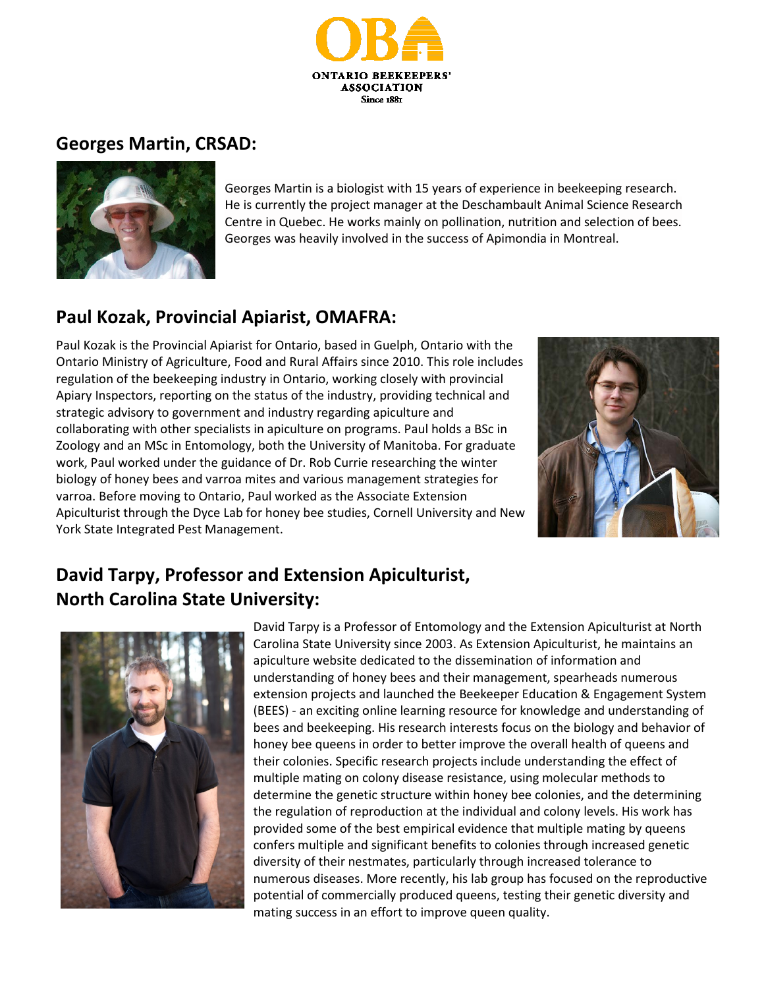

## **Georges Martin, CRSAD:**



Georges Martin is a biologist with 15 years of experience in beekeeping research. He is currently the project manager at the Deschambault Animal Science Research Centre in Quebec. He works mainly on pollination, nutrition and selection of bees. Georges was heavily involved in the success of Apimondia in Montreal.

# **Paul Kozak, Provincial Apiarist, OMAFRA:**

Paul Kozak is the Provincial Apiarist for Ontario, based in Guelph, Ontario with the Ontario Ministry of Agriculture, Food and Rural Affairs since 2010. This role includes regulation of the beekeeping industry in Ontario, working closely with provincial Apiary Inspectors, reporting on the status of the industry, providing technical and strategic advisory to government and industry regarding apiculture and collaborating with other specialists in apiculture on programs. Paul holds a BSc in Zoology and an MSc in Entomology, both the University of Manitoba. For graduate work, Paul worked under the guidance of Dr. Rob Currie researching the winter biology of honey bees and varroa mites and various management strategies for varroa. Before moving to Ontario, Paul worked as the Associate Extension Apiculturist through the Dyce Lab for honey bee studies, Cornell University and New York State Integrated Pest Management.



# **David Tarpy, Professor and Extension Apiculturist, North Carolina State University:**



David Tarpy is a Professor of Entomology and the Extension Apiculturist at North Carolina State University since 2003. As Extension Apiculturist, he maintains an apiculture website dedicated to the dissemination of information and understanding of honey bees and their management, spearheads numerous extension projects and launched the Beekeeper Education & Engagement System (BEES) - an exciting online learning resource for knowledge and understanding of bees and beekeeping. His research interests focus on the biology and behavior of honey bee queens in order to better improve the overall health of queens and their colonies. Specific research projects include understanding the effect of multiple mating on colony disease resistance, using molecular methods to determine the genetic structure within honey bee colonies, and the determining the regulation of reproduction at the individual and colony levels. His work has provided some of the best empirical evidence that multiple mating by queens confers multiple and significant benefits to colonies through increased genetic diversity of their nestmates, particularly through increased tolerance to numerous diseases. More recently, his lab group has focused on the reproductive potential of commercially produced queens, testing their genetic diversity and mating success in an effort to improve queen quality.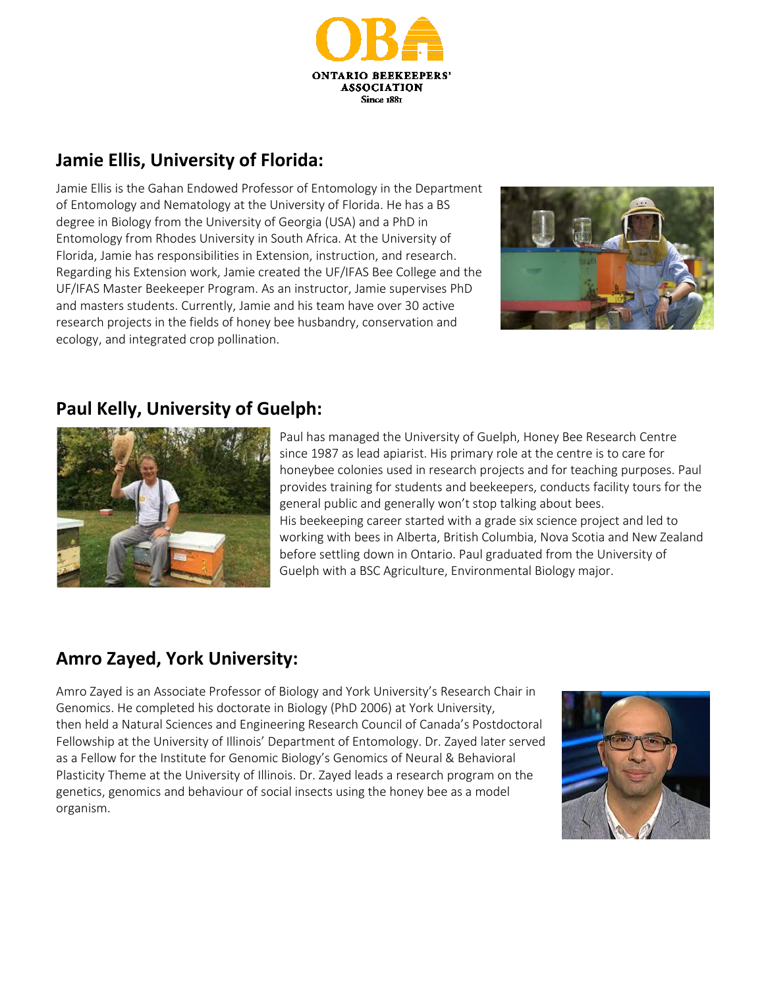

# **Jamie Ellis, University of Florida:**

Jamie Ellis is the Gahan Endowed Professor of Entomology in the Department of Entomology and Nematology at the University of Florida. He has a BS degree in Biology from the University of Georgia (USA) and a PhD in Entomology from Rhodes University in South Africa. At the University of Florida, Jamie has responsibilities in Extension, instruction, and research. Regarding his Extension work, Jamie created the UF/IFAS Bee College and the UF/IFAS Master Beekeeper Program. As an instructor, Jamie supervises PhD and masters students. Currently, Jamie and his team have over 30 active research projects in the fields of honey bee husbandry, conservation and ecology, and integrated crop pollination.



## **Paul Kelly, University of Guelph:**



Paul has managed the University of Guelph, Honey Bee Research Centre since 1987 as lead apiarist. His primary role at the centre is to care for honeybee colonies used in research projects and for teaching purposes. Paul provides training for students and beekeepers, conducts facility tours for the general public and generally won't stop talking about bees. His beekeeping career started with a grade six science project and led to working with bees in Alberta, British Columbia, Nova Scotia and New Zealand before settling down in Ontario. Paul graduated from the University of Guelph with a BSC Agriculture, Environmental Biology major.

# **Amro Zayed, York University:**

Amro Zayed is an Associate Professor of Biology and York University's Research Chair in Genomics. He completed his doctorate in Biology (PhD 2006) at York University, then held a Natural Sciences and Engineering Research Council of Canada's Postdoctoral Fellowship at the University of Illinois' Department of Entomology. Dr. Zayed later served as a Fellow for the Institute for Genomic Biology's Genomics of Neural & Behavioral Plasticity Theme at the University of Illinois. Dr. Zayed leads a research program on the genetics, genomics and behaviour of social insects using the honey bee as a model organism.